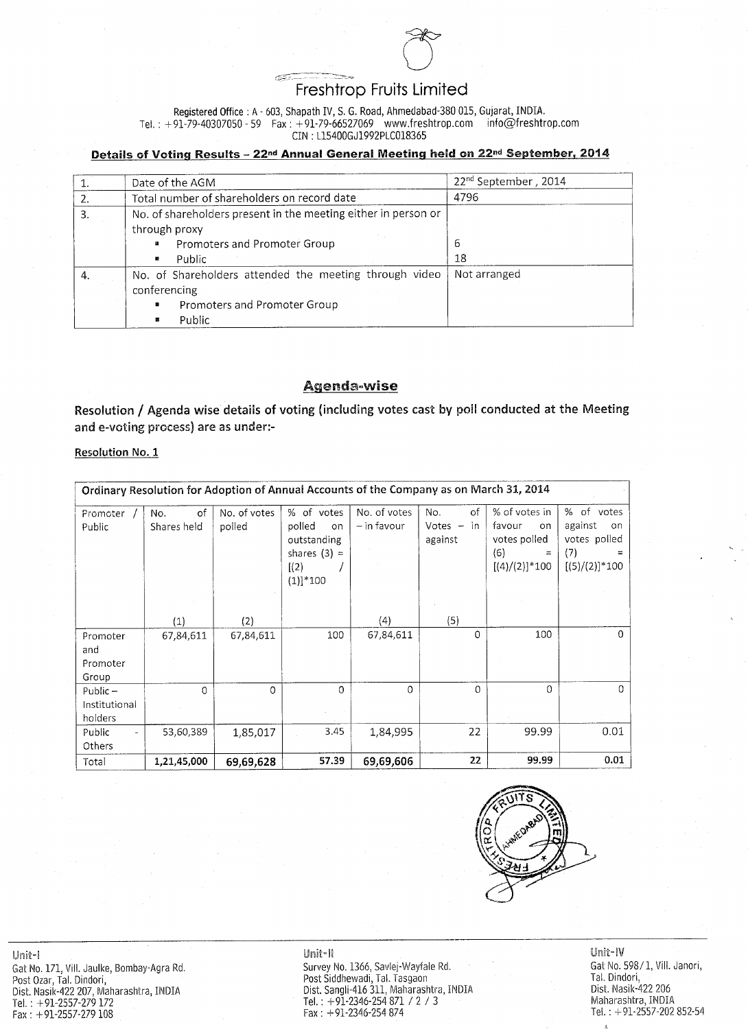

# Registered Office: A - 603, Shapath IV, S. G. Road, Ahmedabad-380 015, Gujarat, INDIA. Tel.: +91-79-40307050 - 59 Fax: +91-79-66527069 www.freshtrop.com info@freshtrop.com CIN: L15400GJ1992PLC018365

# Details of Voting Results - 22<sup>nd</sup> Annual General Meeting held on 22<sup>nd</sup> September, 2014

| Date of the AGM                                                | $22nd$ September, 2014 |
|----------------------------------------------------------------|------------------------|
| Total number of shareholders on record date                    | 4796                   |
| No. of shareholders present in the meeting either in person or |                        |
| through proxy                                                  |                        |
| <b>Promoters and Promoter Group</b><br>$\mathbf{a}^{\prime}$   | $\circ$                |
| Public                                                         | 18                     |

|              | No. of Shareholders attended the meeting through video   Not arranged |  |
|--------------|-----------------------------------------------------------------------|--|
| conferencing |                                                                       |  |
|              | <b>Promoters and Promoter Group</b>                                   |  |
|              | Public                                                                |  |

# Agenda-wise

Resolution / Agenda wise details of voting (including votes cast by poll conducted at the Meeting and e-voting process) are as under:-

# Resolution No. 1

|                                        | Ordinary Resolution for Adoption of Annual Accounts of the Company as on March 31, 2014 |                        |                                                                                              |                                |                                      |                                                                                        |                                                                                      |
|----------------------------------------|-----------------------------------------------------------------------------------------|------------------------|----------------------------------------------------------------------------------------------|--------------------------------|--------------------------------------|----------------------------------------------------------------------------------------|--------------------------------------------------------------------------------------|
| Promoter<br>Public                     | of<br>No.<br>Shares held                                                                | No. of votes<br>polled | % of votes<br>polled<br>$\circ$ n<br>outstanding<br>shares $(3) =$<br>[(2)]<br>$(1)]^{*}100$ | No. of votes<br>$-$ in favour  | No.<br>of<br>Votes $-$ in<br>against | % of votes in<br>favour<br>on.<br>votes polled<br>(6)<br>$\equiv$<br>$[(4)/(2)]$ * 100 | %<br>of<br>votes<br>against<br><b>on</b><br>votes polled<br>(7)<br>$[(5)/(2)]$ * 100 |
| Promoter<br>and<br>Promoter<br>Group   | (1)<br>67,84,611                                                                        | (2)<br>67,84,611       | 100                                                                                          | $\left( 4\right)$<br>67,84,611 | (5)<br>0                             | 100                                                                                    |                                                                                      |
| $Public -$<br>Institutional<br>holders | 0.                                                                                      |                        | 0                                                                                            |                                | 0                                    |                                                                                        |                                                                                      |
| Public<br>Others                       | 53,60,389                                                                               | 1,85,017               | 3.45                                                                                         | 1,84,995                       | 22                                   | 99.99                                                                                  | 0.01                                                                                 |
| Total                                  | 1,21,45,000                                                                             | 69,69,628              | 57.39                                                                                        | 69,69,606                      | 22                                   | 99.99                                                                                  | 0.01                                                                                 |



**WANTED A**P

Unit-I

Gat No. 171, Vill. Jaulke, Bombay-Agra Rd. Post Ozar, Tal. Dindori, Dist. Nasik-422 207, Maharashtra, INDIA Tel.:  $+91-2557-279172$  $Fax: +91-2557-279108$ 

#### Unit-II

Survey No. 1366, Savlej-Wayfale Rd. Post Siddhewadi, Tal. Tasgaon Dist. Sangli-416 311, Maharashtra, INDIA Tel.:  $+91-2346-254871 / 2 / 3$  $Fax: +91-2346-254874$ 

# Unit-IV Gat No. 598/1, Vill. Janori, Tal. Dindori, Dist. Nasik-422 206 Maharashtra, INDIA Tel.:  $+91-2557-202852-54$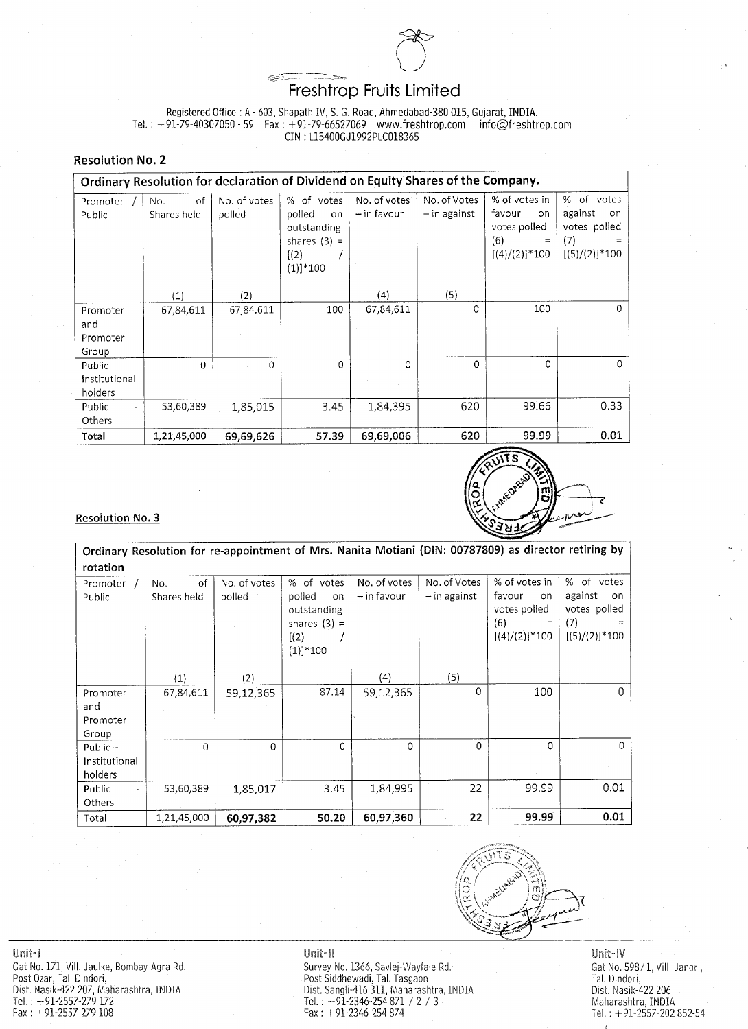

Registered Office: A - 603, Shapath IV, S. G. Road, Ahmedabad-380 015, Gujarat, INDIA. Tel.:  $+91-79-40307050 - 59$  Fax:  $+91-79-66527069$  www.freshtrop.com  $info@$ freshtrop.com CIN: L15400GJ1992PLC018365

**Resolution No. 2** 

|                                        | Ordinary Resolution for declaration of Dividend on Equity Shares of the Company. |                        |                                                                                      |                               |                                                                                                                                 |                                                                              |                                                                                  |
|----------------------------------------|----------------------------------------------------------------------------------|------------------------|--------------------------------------------------------------------------------------|-------------------------------|---------------------------------------------------------------------------------------------------------------------------------|------------------------------------------------------------------------------|----------------------------------------------------------------------------------|
| Promoter<br>Public                     | <b>of</b><br>No.<br>Shares held                                                  | No. of votes<br>polled | % of votes<br>polled<br>on l<br>outstanding<br>shares $(3) =$<br>[(2)]<br>$(1)]*100$ | No. of votes<br>$-$ in favour | No. of Votes<br>$-$ in against                                                                                                  | % of votes in<br>favour<br>on o<br>votes polled<br>(6)<br>$[(4)/(2)]^{*}100$ | %<br>votes<br>of.<br>against<br>-on<br>votes polled<br>(7)<br>$[(5)/(2)]^{*}100$ |
|                                        | $\mathbf{1})$                                                                    | (2)                    |                                                                                      | (4)                           | (5)                                                                                                                             |                                                                              |                                                                                  |
| Promoter<br>and<br>Promoter<br>Group   | 67,84,611                                                                        | 67,84,611              | 100                                                                                  | 67,84,611                     |                                                                                                                                 | 100                                                                          | 0                                                                                |
| $Public -$<br>Institutional<br>holders |                                                                                  |                        | 0                                                                                    |                               | 0                                                                                                                               | 0                                                                            |                                                                                  |
| Public<br>$\blacksquare$<br>Others     | 53,60,389                                                                        | 1,85,015               | 3.45                                                                                 | 1,84,395                      | 620                                                                                                                             | 99.66                                                                        | 0.33                                                                             |
| Total                                  | 1,21,45,000                                                                      | 69,69,626              | 57.39                                                                                | 69,69,006                     | 620<br>, waa digter die stad van die gebeure van die van die van die van die van die van die van die van die van die<br>Gebeure | 99.99                                                                        | 0.01                                                                             |



 $\mathcal{L}(\mathcal{L})$  and  $\mathcal{L}(\mathcal{L})$ 

 $\sim 100$  km s  $^{-1}$ 

 $\sim 10^{-10}$  M  $_{\odot}$ 

 $\alpha$  ,  $\alpha$  ,  $\alpha$ 



Ordinary Resolution for re-appointment of Mrs. Nanita Motiani (DIN: 00787809) as director retiring by rotation

| Promoter           | <b>of</b><br>No. | No. of votes | % of votes                                                            | No. of votes  | No. of Votes   | % of votes in                                                    | % of votes                                                   |
|--------------------|------------------|--------------|-----------------------------------------------------------------------|---------------|----------------|------------------------------------------------------------------|--------------------------------------------------------------|
| Public             | Shares held      | polled       | polled<br>on.<br>outstanding<br>shares $(3) =$<br>[(2)]<br>$(1)]*100$ | $-$ in favour | $-$ in against | favour<br>on.<br>votes polled<br>(6)<br>$=$<br>$[(4)/(2)]$ * 100 | against<br>on  <br>votes polled<br>(7)<br>$[(5)/(2)]^{*}100$ |
|                    | (1)              | (2)          |                                                                       | (4)           | (5)            |                                                                  |                                                              |
| Promoter           | 67,84,611        | 59,12,365    | 87.14                                                                 | 59,12,365     | $\overline{O}$ | 100                                                              |                                                              |
| and                |                  |              |                                                                       |               |                |                                                                  |                                                              |
| Promoter           |                  |              |                                                                       |               |                |                                                                  |                                                              |
| Group              |                  |              |                                                                       |               |                |                                                                  |                                                              |
| $Public -$         |                  | 0            | 0                                                                     |               | $\overline{0}$ |                                                                  | $\Omega$                                                     |
| Institutional      |                  |              |                                                                       |               |                |                                                                  |                                                              |
| holders            |                  |              |                                                                       |               |                |                                                                  |                                                              |
| Public<br><b>.</b> | 53,60,389        | 1,85,017     | 3.45                                                                  | 1,84,995      | 22             | 99.99                                                            | 0.01                                                         |
| Others             |                  |              |                                                                       |               |                |                                                                  |                                                              |
| Total              | 1,21,45,000      | 60,97,382    | 50.20                                                                 | 60,97,360     | 22             | 99.99                                                            | 0.01                                                         |



Unit-l Gat No. 171, Vill. Jaulke, Bombay-Agra Rd. Post Ozar, Tal. Dindori,<br>Dist. Nasik-422 207, Maharashtra, INDIA Tel.:  $+91-2557-279172$  $Fax: +91-2557-279108$ 

#### Unit-II

Survey No. 1366, Savlej-Wayfale Rd. Post Siddhewadi, Tal. Tasgaon<br>Dist. Sangli-416 311, Maharashtra, INDIA Tel.:  $+91-2346-254871 / 2 / 3$ Fax:  $+91-2346-254874$ 

# Unit-IV Gat No. 598/1, Vill. Janori, Tal. Dindori, Dist. Nasik-422 206 Maharashtra, INDIA Tel.:  $+91-2557-202852-54$

 $\mathbf{R}_{\mathbf{d}}$  ,  $\mathbf{L}_{\mathbf{d}}$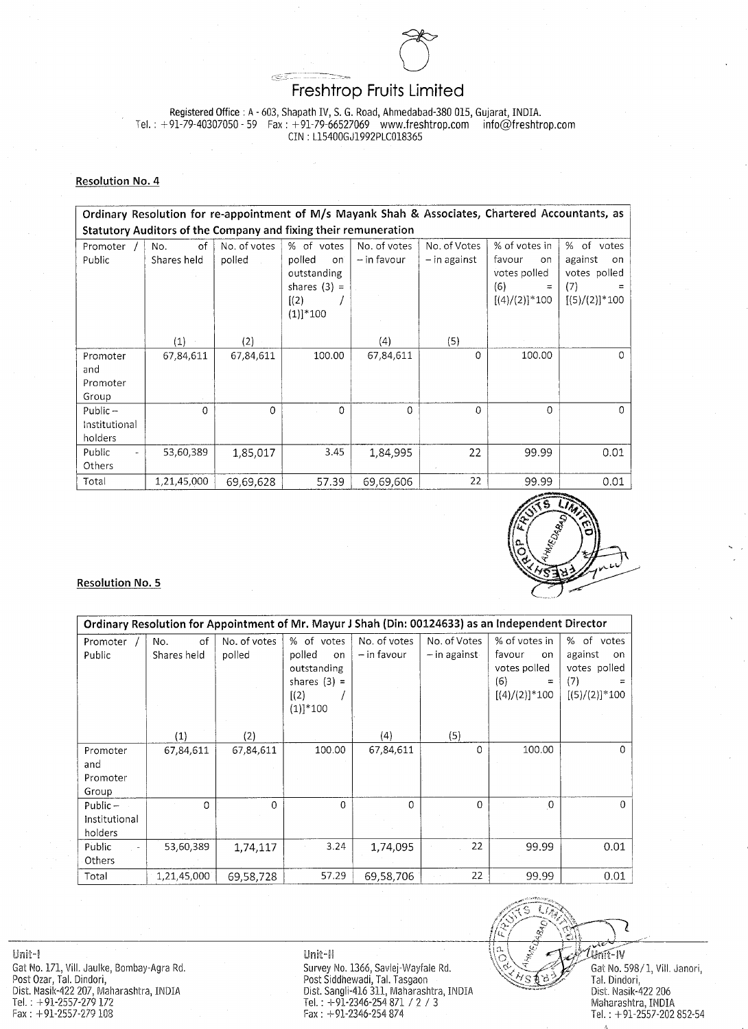

Registered Office: A - 603, Shapath IV, S. G. Road, Ahmedabad-380 015, Gujarat, INDIA. Tel.: +91-79-40307050 - 59 Fax: +91-79-66527069 www.freshtrop.com info@freshtrop.com CIN: L15400GJ1992PLC018365

### **Resolution No. 4**

Ordinary Resolution for re-appointment of M/s Mayank Shah & Associates, Chartered Accountants, as Statutory Auditors of the Company and fixing their remuneration No. of Votes % of votes in % of votes No. of votes % of votes No. of votes Promoter of. No. polled against polled  $-$  in against  $-$  in favour Public Shares held favour on i on on.

|                                              |             |           | outstanding<br>shares $(3) =$<br>[(2)]<br>$(1)]*100$ |           |                | votes polled<br>(6)<br>$\equiv$<br>$[(4)/(2)]$ * 100 | votes polled<br>(7)<br>$[(5)/(2)]^{*}100$ |
|----------------------------------------------|-------------|-----------|------------------------------------------------------|-----------|----------------|------------------------------------------------------|-------------------------------------------|
|                                              | (1)         | (2)       |                                                      | (4)       | (5)            |                                                      |                                           |
| Promoter<br>and<br>Promoter<br>Group         | 67,84,611   | 67,84,611 | 100.00                                               | 67,84,611 | $\theta$       | 100.00                                               | $\overline{O}$                            |
| $Public -$<br>Institutional<br>holders       | U           | 0         |                                                      | 0         | $\overline{0}$ | 0                                                    | $\overline{O}$                            |
| Public<br>$\overline{\phantom{m}}$<br>Others | 53,60,389   | 1,85,017  | 3.45                                                 | 1,84,995  | 22             | 99.99                                                | 0.01                                      |
| Total                                        | 1,21,45,000 | 69,69,628 | 57.39                                                | 69,69,606 | 22             | 99.99                                                | 0.01                                      |



### **Resolution No. 5**

|                                        | Ordinary Resolution for Appointment of Mr. Mayur J Shah (Din: 00124633) as an Independent Director |                        |                                                                                       |                               |                                |                                                                           |                                                                       |  |
|----------------------------------------|----------------------------------------------------------------------------------------------------|------------------------|---------------------------------------------------------------------------------------|-------------------------------|--------------------------------|---------------------------------------------------------------------------|-----------------------------------------------------------------------|--|
| Promoter<br>Public                     | of<br>No.<br>Shares held                                                                           | No. of votes<br>polled | % of votes<br>polled<br>on.<br>outstanding<br>shares $(3) =$<br>[(2)]<br>$(1)]$ * 100 | No. of votes<br>$-$ in favour | No. of Votes<br>$-$ in against | % of votes in<br>favour<br>on<br>votes polled<br>(6)<br>$[(4)/(2)]$ * 100 | % of<br>votes<br>against<br>on.<br>votes polled<br>$[(5)/(2)]^{*}100$ |  |
|                                        | $\left( 1\right)$                                                                                  | (2)                    |                                                                                       | (4)                           | (5)                            |                                                                           |                                                                       |  |
| Promoter<br>and<br>Promoter<br>Group   | 67,84,611                                                                                          | 67,84,611              | 100.00                                                                                | 67,84,611                     | $\overline{0}$                 | 100.00                                                                    | 0 <sup>1</sup>                                                        |  |
| Public $-$<br>Institutional<br>holders |                                                                                                    |                        | 0                                                                                     |                               | $\overline{0}$                 |                                                                           |                                                                       |  |
| Public<br>Others                       | 53,60,389                                                                                          | 1,74,117               | 3.24                                                                                  | 1,74,095                      | 22                             | 99.99                                                                     | 0.01                                                                  |  |
| Total                                  | 1,21,45,000                                                                                        | 69,58,728              | 57.29                                                                                 | 69,58,706                     | 22                             | 99.99                                                                     | 0.01                                                                  |  |

Unit-I

Gat No. 171, Vill. Jaulke, Bombay-Agra Rd. Post Ozar, Tal. Dindori, Dist. Nasik-422 207, Maharashtra, INDIA Tel.:  $+91-2557-279172$  $Fax: +91-2557-279108$ 

#### Unit-II

Survey No. 1366, Savlej-Wayfale Rd. Post Siddhewadi, Tal. Tasgaon Dist. Sangli-416 311, Maharashtra, INDIA Tel.:  $+91-2346-254871 / 2 / 3$  $Fax: +91-2346-254874$ 

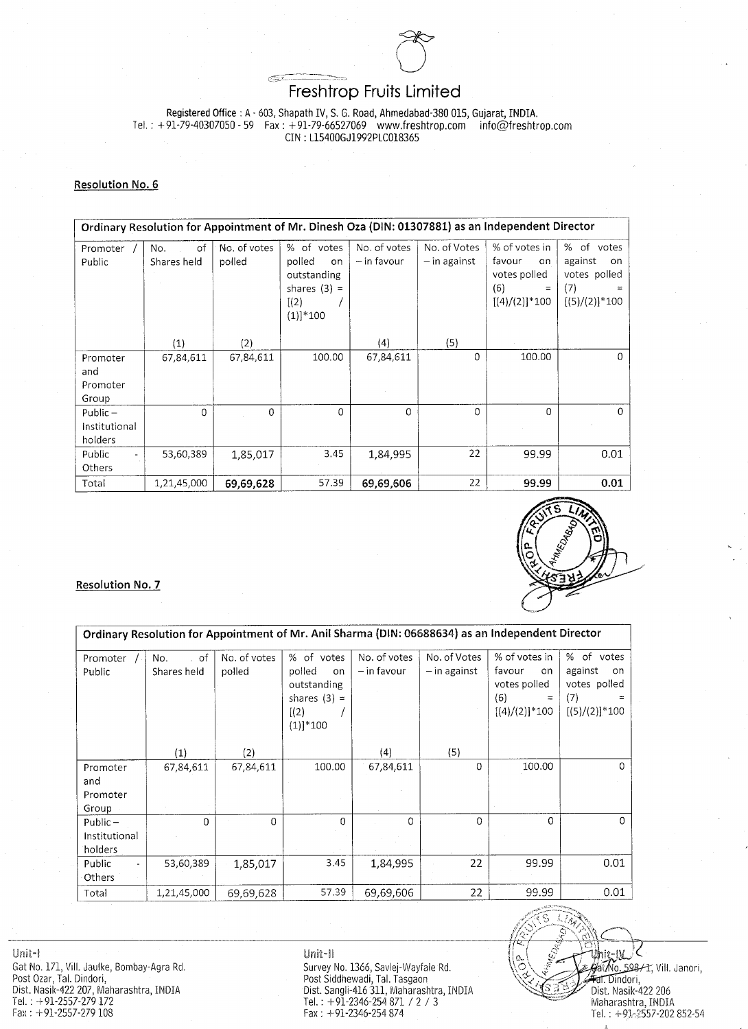

Registered Office: A - 603, Shapath IV, S. G. Road, Ahmedabad-380 015, Gujarat, INDIA. Tel.: +91-79-40307050 - 59 Fax: +91-79-66527069 www.freshtrop.com  $info@$ freshtrop.com CIN: L15400GJ1992PLC018365

#### Resolution No. 6

Ordinary Resolution for Appointment of Mr. Dinesh Oza (DIN: 01307881) as an Independent Director % of votes in % of votes No. of votes No. of votes % of votes No. of Votes Promoter No. of  $-$  in favour  $-$  in against polled polled Public against Shares held favour  $on$ on  $on$ 

|                                              |               |           | outstanding<br>shares $(3) =$<br>[(2)<br>$(1)]*100$ |           |     | votes polled<br>(6)<br>$\equiv$<br>$[(4)/(2)]^{*}100$ | votes polled<br>(7)<br>$[(5)/(2)]$ * 100 |
|----------------------------------------------|---------------|-----------|-----------------------------------------------------|-----------|-----|-------------------------------------------------------|------------------------------------------|
|                                              | $^{\prime}1)$ | (2)       |                                                     | (4)       | (5) |                                                       |                                          |
| Promoter<br>and                              | 67,84,611     | 67,84,611 | 100.00                                              | 67,84,611 | 0   | 100.00                                                |                                          |
| Promoter<br>Group                            |               |           |                                                     |           |     |                                                       |                                          |
| Public $-$<br>Institutional<br>holders       | 0             | $\theta$  | 0                                                   | $\Omega$  | 0   | 0                                                     |                                          |
| Public<br>$\overline{\phantom{0}}$<br>Others | 53,60,389     | 1,85,017  | 3.45                                                | 1,84,995  | 22  | 99.99                                                 | 0.01                                     |
| Total                                        | 1,21,45,000   | 69,69,628 | 57.39                                               | 69,69,606 | 22  | 99.99                                                 | 0.01                                     |



# Resolution No. 7

|                                           | Ordinary Resolution for Appointment of Mr. Anil Sharma (DIN: 06688634) as an Independent Director |                        |                                                                                          |                               |                                |                                                                                   |                                                                             |  |
|-------------------------------------------|---------------------------------------------------------------------------------------------------|------------------------|------------------------------------------------------------------------------------------|-------------------------------|--------------------------------|-----------------------------------------------------------------------------------|-----------------------------------------------------------------------------|--|
| Promoter<br>Public                        | No.<br>-of<br>Shares held                                                                         | No. of votes<br>polled | % of<br>votes<br>polled<br>on.<br>outstanding<br>shares $(3) =$<br>[(2)]<br>$(1)]$ * 100 | No. of votes<br>$-$ in favour | No. of Votes<br>$-$ in against | % of votes in<br>favour<br>on.<br>votes polled<br>(6)<br>$=$<br>$[(4)/(2)]$ * 100 | % of<br>votes<br>against<br>on.<br>votes polled<br>(7)<br>$[(5)/(2)]$ * 100 |  |
|                                           | $\left( 1\right)$                                                                                 | (2)                    |                                                                                          | (4)                           | (5)                            |                                                                                   |                                                                             |  |
| Promoter<br>and<br>Promoter<br>Group      | 67,84,611                                                                                         | 67,84,611              | 100.00                                                                                   | 67,84,611                     | $\overline{O}$                 | 100.00                                                                            | 0.                                                                          |  |
| Public $-$<br>Institutional<br>holders    |                                                                                                   | 0                      |                                                                                          |                               | $\overline{0}$                 |                                                                                   | 0.                                                                          |  |
| Public<br>$\blacksquare$<br><b>Others</b> | 53,60,389                                                                                         | 1,85,017               | 3.45                                                                                     | 1,84,995                      | 22                             | 99.99                                                                             | 0.01                                                                        |  |
| Total                                     | 1,21,45,000                                                                                       | 69,69,628              | 57.39                                                                                    | 69,69,606                     | 22                             | 99.99                                                                             | 0.01                                                                        |  |

Unit-I

Gat No. 171, Vill. Jaulke, Bombay-Agra Rd. Post Ozar, Tal. Dindori, Dist. Nasik-422 207, Maharashtra, INDIA Tel.:  $+91-2557-279172$  $Fax: +91-2557-279108$ 

#### Unit-II

Survey No. 1366, Savlej-Wayfale Rd. Post Siddhewadi, Tal. Tasgaon<br>Dist. Sangli-416 311, Maharashtra, INDIA Tel.:  $+91-2346-254871 / 2 / 3$ Fax:  $+91-2346-254874$ 

 $A$ a $(Mo, 598/1,$  Vill. Janori, <del>, Fal.</del> Dindori, Dist. Nasik-422 206 Maharashtra, INDIA Tel.:  $+93.2557 - 202852 - 54$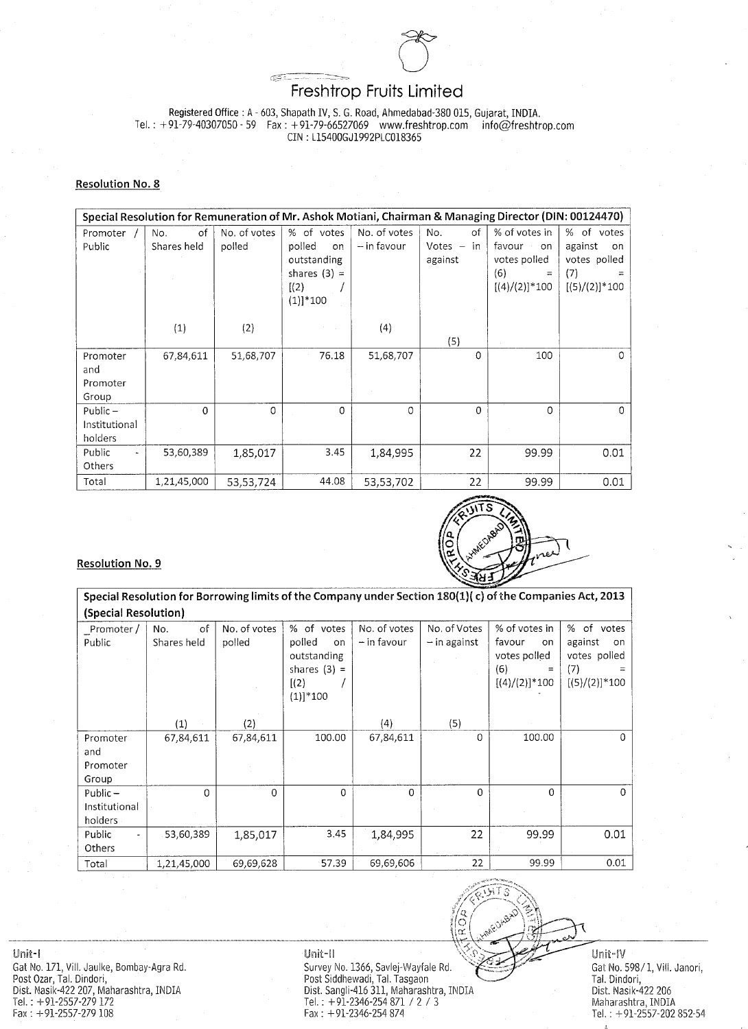

Registered Office: A - 603, Shapath IV, S. G. Road, Ahmedabad-380 015, Gujarat, INDIA.

Tel.:  $+91-79-40307050 - 59$  Fax:  $+91-79-66527069$  www.freshtrop.com  $into@$ freshtrop.com CIN: L15400GJ1992PLC018365

### **Resolution No. 8**

|                                        | Special Resolution for Remuneration of Mr. Ashok Motiani, Chairman & Managing Director (DIN: 00124470) |                        |                                                                                     |                               |                                          |                                                                                    |                                                                                 |  |  |
|----------------------------------------|--------------------------------------------------------------------------------------------------------|------------------------|-------------------------------------------------------------------------------------|-------------------------------|------------------------------------------|------------------------------------------------------------------------------------|---------------------------------------------------------------------------------|--|--|
| Promoter<br>Public                     | of<br>No.<br>Shares held                                                                               | No. of votes<br>polled | % of votes<br>polled<br>on.<br>outstanding<br>shares $(3) =$<br>[(2)]<br>$(1)]*100$ | No. of votes<br>$-$ in favour | 0f<br>No.<br>$Votes -$<br>in.<br>against | % of votes in<br>favour.<br>on.<br>votes polled<br>(6)<br>$=$<br>$[(4)/(2)]$ * 100 | %<br>of.<br>votes<br>against<br>-on<br>votes polled<br>(7)<br>$[(5)/(2)]$ * 100 |  |  |
|                                        | (1)                                                                                                    | (2)                    |                                                                                     | (4)                           | (5)                                      |                                                                                    |                                                                                 |  |  |
| Promoter<br>and<br>Promoter<br>Group   | 67,84,611                                                                                              | 51,68,707              | 76.18                                                                               | 51,68,707                     | 0                                        | 100                                                                                |                                                                                 |  |  |
| $Public -$<br>Institutional<br>holders | 0                                                                                                      |                        | 0                                                                                   |                               | 0                                        |                                                                                    |                                                                                 |  |  |
| Public<br>۰.<br>Others                 | 53,60,389                                                                                              | 1,85,017               | 3.45                                                                                | 1,84,995                      | 22                                       | 99.99                                                                              | 0.01                                                                            |  |  |
| Total                                  | 1,21,45,000                                                                                            | 53,53,724              | 44.08                                                                               | 53,53,702                     | 22                                       | 99.99                                                                              | 0.01                                                                            |  |  |



**White Orke** week

**Resolution No. 9** 

Special Resolution for Borrowing limits of the Company under Section 180(1)(c) of the Companies Act, 2013 (Special Resolution)

| Promoter /<br>Public   | Οf<br>No.<br>Shares held | No. of votes<br>polled | % of votes<br>polled<br>on.<br>outstanding<br>shares $(3) =$<br>[(2)]<br>$(1)]$ * 100 | No. of votes<br>$-$ in favour | No. of Votes<br>$-$ in against | % of votes in<br>favour<br>on.<br>votes polled<br>(6)<br>$[(4)/(2)]$ * 100 | %<br>of<br>votes<br>against<br>on<br>votes polled<br>(7)<br>$[(5)/(2)]*100$ |
|------------------------|--------------------------|------------------------|---------------------------------------------------------------------------------------|-------------------------------|--------------------------------|----------------------------------------------------------------------------|-----------------------------------------------------------------------------|
|                        | (1)                      | (2)                    |                                                                                       | (4)                           | (5)                            |                                                                            |                                                                             |
| Promoter               | 67,84,611                | 67,84,611              | 100.00                                                                                | 67,84,611                     | $\overline{0}$                 | 100.00                                                                     |                                                                             |
| and                    |                          |                        |                                                                                       |                               |                                |                                                                            |                                                                             |
| Promoter               |                          |                        |                                                                                       |                               |                                |                                                                            |                                                                             |
| Group                  |                          |                        |                                                                                       |                               |                                |                                                                            |                                                                             |
| $Public -$             |                          | 0                      |                                                                                       | 0                             | $\theta$                       | $\Omega$                                                                   |                                                                             |
| Institutional          |                          |                        |                                                                                       |                               |                                |                                                                            |                                                                             |
| holders                |                          |                        |                                                                                       |                               |                                |                                                                            |                                                                             |
| Public<br>$\mathbf{r}$ | $-53,60,389$             | 1,85,017               | 3.45                                                                                  | 1,84,995                      | 22                             | 99.99                                                                      | 0.01                                                                        |
| Others                 |                          |                        |                                                                                       |                               |                                |                                                                            |                                                                             |
| Total                  | 1,21,45,000              | 69,69,628              | 57.39                                                                                 | 69,69,606                     | 22                             | 99.99                                                                      | 0.01                                                                        |

Unit-I and the contract of the contract of the contract of the contract of the contract of the contract of the Gat No. 171, Vill. Jaulke, Bombay-Agra Rd. Post Ozar, Tal. Dindori, Dist. Nasik-422 207, Maharashtra, INDIA Tel.:  $+91-2557-279172$  $Fax: +91-2557-279108$ 

#### Unit-II

Survey No. 1366, Savlej-Wayfale Rd. Post Siddhewadi, Tal. Tasgaon Dist. Sangli-416 311, Maharashtra, INDIA Tel.:  $+91-2346-254871 / 2 / 3$ Fax:  $+91-2346-254874$ 

 $Unit-W$ Gat No. 598/1, Vill. Janori, Tal. Dindori, Dist. Nasik-422 206 Maharashtra, INDIA Tel.:  $+91-2557-202852-54$   $\mathbf{S}_{\mathbf{A}}$  .  $\mathbf{S}_{\mathbf{A}}$ 

 $\sim$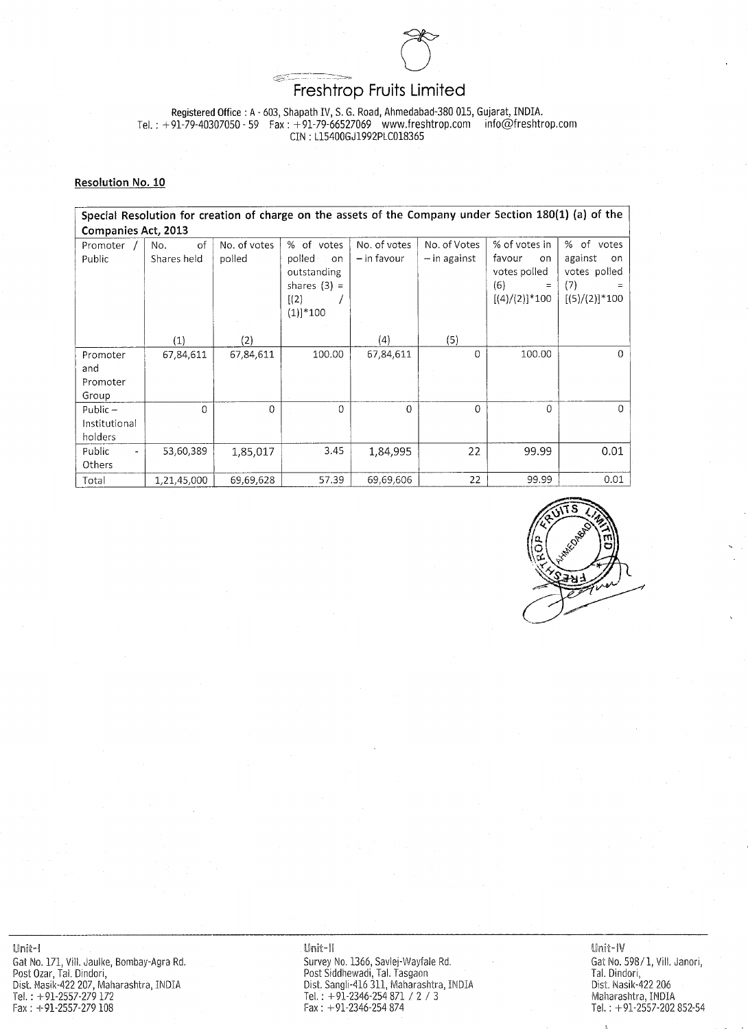

Registered Office: A - 603, Shapath IV, S. G. Road, Ahmedabad-380 015, Gujarat, INDIA. Tel.:  $+91-79-40307050 - 59$  Fax:  $+91-79-66527069$  www.freshtrop.com info@freshtrop.com CIN: L15400GJ1992PLC018365

#### Resolution No. 10

Special Resolution for creation of charge on the assets of the Company under Section 180(1) (a) of the **Companies Act, 2013** 

| Promoter               | of<br>No.   | No. of votes | % of votes     | No. of votes  | No. of Votes   | % of votes in      | % of votes        |
|------------------------|-------------|--------------|----------------|---------------|----------------|--------------------|-------------------|
| Public                 | Shares held | polled       | polled<br>on   | $-$ in favour | $-$ in against | favour<br>on       | against<br>on.    |
|                        |             |              | outstanding    |               |                | votes polled       | votes polled      |
|                        |             |              | shares $(3) =$ |               |                | (6)<br>$=$         | $=$               |
|                        |             |              | [(2)]          |               |                | $[(4)/(2)]^{*}100$ | $[(5)/(2)]$ * 100 |
|                        |             |              | $(1)]$ * 100   |               |                |                    |                   |
|                        |             |              |                |               |                |                    |                   |
|                        | $\ket{1}$   | (2)          |                | (4)           | (5)            |                    |                   |
| Promoter               | 67,84,611   | 67,84,611    | 100.00         | 67,84,611     |                | 100.00             | 0                 |
| and                    |             |              |                |               |                |                    |                   |
| Promoter               |             |              |                |               |                |                    |                   |
| Group                  |             |              |                |               |                |                    |                   |
| Public-                |             |              | 0              |               |                | 0                  |                   |
| Institutional          |             |              |                |               |                |                    |                   |
| holders                |             |              |                |               |                |                    |                   |
| Public<br>$\mathbf{r}$ | 53,60,389   | 1,85,017     | 3.45           | 1,84,995      | 22             | 99.99              | 0.01              |
| Others                 |             |              |                |               |                |                    |                   |
| Total                  | 1,21,45,000 | 69,69,628    | 57.39          | 69,69,606     | 22             | 99.99              | 0.01              |



 $\sim 10^{11}$  km s  $^{-1}$ 

Unit-l 

Gat No. 171, Vill. Jaulke, Bombay-Agra Rd. Post Ozar, Tal. Dindori, Dist. Nasik-422 207, Maharashtra, INDIA Tel.:  $+91-2557-279172$  $Fax: +91-2557-279108$ 

Unit-II

Survey No. 1366, Savlej-Wayfale Rd. Post Siddhewadi, Tal. Tasgaon Dist. Sangli-416 311, Maharashtra, INDIA Tel.:  $+91-2346-254871 / 2 / 3$  $Fast: +91-2346-254874$ 

Unit-IV

Gat No. 598/1, Vill. Janori, Tal. Dindori, Dist. Nasik-422 206 Maharashtra, INDIA Tel.:  $+91-2557-202852-54$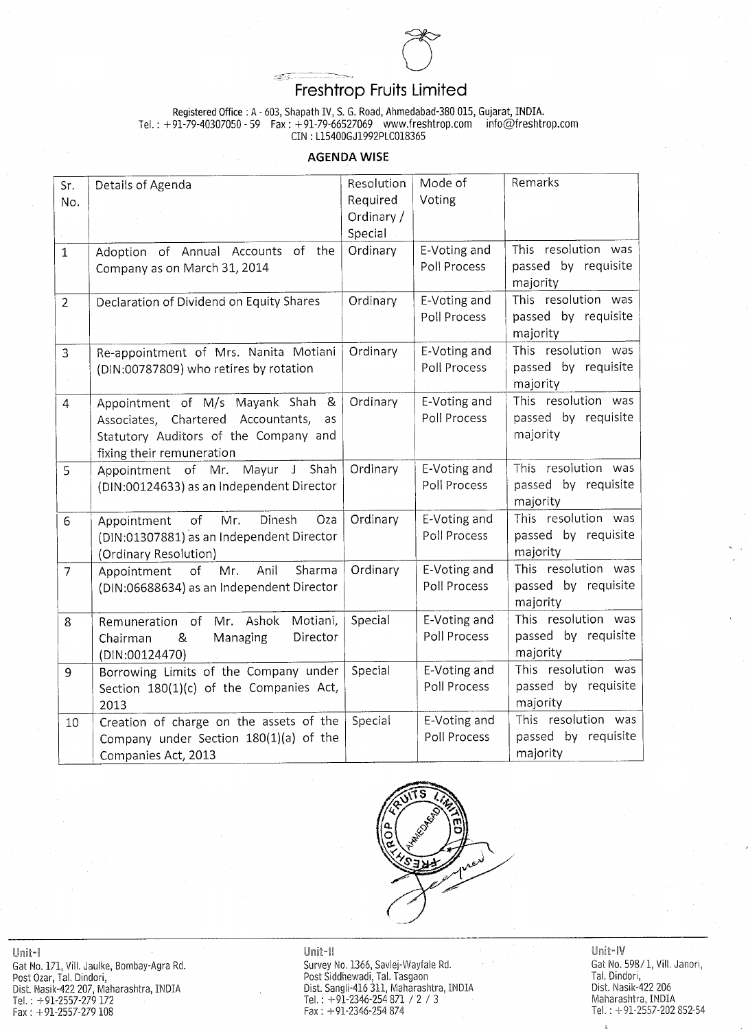

Registered Office: A - 603, Shapath IV, S. G. Road, Ahmedabad-380 015, Gujarat, INDIA. Tel.: +91-79-40307050 - 59 Fax: +91-79-66527069 www.freshtrop.com info@freshtrop.com CIN: L15400GJ1992PLC018365

# **AGENDA WISE**

| Sr.<br>No.       | Details of Agenda                                                                                                                                          | Resolution<br>Required | Mode of<br>Voting            | Remarks                                                               |
|------------------|------------------------------------------------------------------------------------------------------------------------------------------------------------|------------------------|------------------------------|-----------------------------------------------------------------------|
|                  |                                                                                                                                                            | Ordinary /<br>Special  |                              |                                                                       |
|                  | the<br>Annual Accounts of<br>Adoption of<br>Company as on March 31, 2014                                                                                   | Ordinary               | E-Voting and<br>Poll Process | resolution<br>This<br>was<br>requisite<br>passed<br>$b$ v<br>majority |
|                  | Declaration of Dividend on Equity Shares                                                                                                                   | Ordinary               | E-Voting and<br>Poll Process | resolution<br>This<br>was<br>passed by requisite<br>majority          |
| 3                | Re-appointment of Mrs. Nanita Motiani<br>(DIN:00787809) who retires by rotation                                                                            | Ordinary               | E-Voting and<br>Poll Process | This resolution<br>was<br>passed by requisite<br>majority             |
| $\overline{4}$   | Appointment of M/s Mayank Shah &   Ordinary<br>Associates, Chartered Accountants, as<br>Statutory Auditors of the Company and<br>fixing their remuneration |                        | E-Voting and<br>Poll Process | This resolution<br>was<br>passed by requisite<br>majority             |
|                  | Shah  <br>Appointment of Mr. Mayur J<br>(DIN:00124633) as an Independent Director                                                                          | Ordinary               | E-Voting and<br>Poll Process | This resolution was<br>passed by requisite<br>majority                |
| $6 \overline{6}$ | Appointment of Mr. Dinesh Oza<br>(DIN:01307881) as an Independent Director  <br>(Ordinary Resolution)                                                      | Ordinary               | E-Voting and<br>Poll Process | This resolution was<br>passed by requisite<br>majority                |
|                  | Anil<br>Appointment of<br>Mr.<br>(DIN:06688634) as an Independent Director                                                                                 | Sharma   Ordinary      | E-Voting and<br>Poll Process | This resolution<br>was<br>passed by requisite<br>majority             |
| 8                | Motiani, I<br>Remuneration of Mr. Ashok<br>Director<br>Managing<br>8 <sub>k</sub><br>Chairman<br>(DIN:00124470)                                            | Special                | E-Voting and<br>Poll Process | This resolution<br>was<br>passed by requisite<br>majority             |
| 9                | Borrowing Limits of the Company under<br>Section $180(1)(c)$ of the Companies Act,  <br>2013                                                               | Special                | E-Voting and<br>Poll Process | This resolution was<br>requisite,<br>passed by<br>majority            |
| 10               | Creation of charge on the assets of the Special<br>Company under Section 180(1)(a) of the<br>Companies Act, 2013                                           |                        | E-Voting and<br>Poll Process | This resolution was<br>passed by requisite<br>majority                |



Unit-I

Gat No. 171, Vill. Jaulke, Bombay-Agra Rd. Post Ozar, Tal. Dindori, Dist. Nasik-422 207, Maharashtra, INDIA Tel.:  $+91-2557-279$  172  $Fax: +91-2557-279108$ 

# Unit-II

Survey No. 1366, Savlej-Wayfale Rd. Post Siddhewadi, Tal. Tasgaon Dist. Sangli-416 311, Maharashtra, INDIA<br>Tel.: +91-2346-254 871 / 2 / 3  $Fax: +91-2346-254874$ 



and the state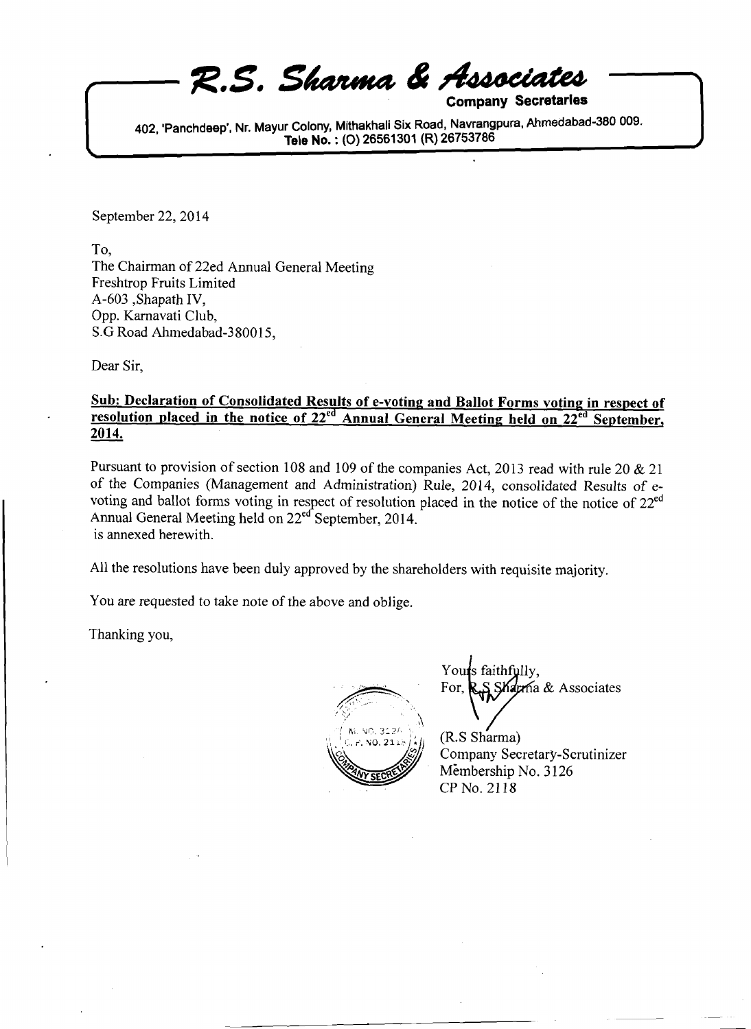**Company** 

**402. 'Panchdeep', Nr. Mayur Colony, Mithakhali Six Road. Navrangpura. Ahmedabad-380 009. Ciates**<br>Secretaries<br>a, Ahmedabad-380 009. **Tele No.** : **(0) 26561 301 (R) 26753786** 

September 22, 2014

To, The Chairman of 22ed Annual General Meeting Freshtrop Fruits Limited A-603 ,Shapath IV, Opp. Karnavati Club, S.G Road Ahmedabad-380015,

Dear Sir,

 $\overline{\phantom{0}}$ 

#### **Sub: Declaration of Consolidated Results of e-voting and Ballot Forms voting in respect of**  resolution placed in the notice of 22<sup>ed</sup> Annual General Meeting held on 22<sup>ed</sup> September, Dear Sir,<br><u>Sub: Declan<br>resolution 1</u><br>2014.

Pursuant to provision of section 108 and 109 of the companies Act, 2013 read with rule 20  $& 21$ of the Companies (Management and Administration) Rule, 2014, consolidated Results of evoting and ballot forms voting in respect of resolution placed in the notice of the notice of 22<sup>ed</sup> Annual General Meeting held on 22<sup>ed</sup> September, 2014. is annexed herewith.

All the resolutions have been duly approved by the shareholders with requisite majority.

You are requested to take note of the above and oblige.

Thanking you,



Youts faithfully. Yours faithfully,<br>For, R.S. Sharma & Associates

 $(R.S Sharma)$ Company Secretary-Scrutinizer Membership No. 3 126 CP No. 21 18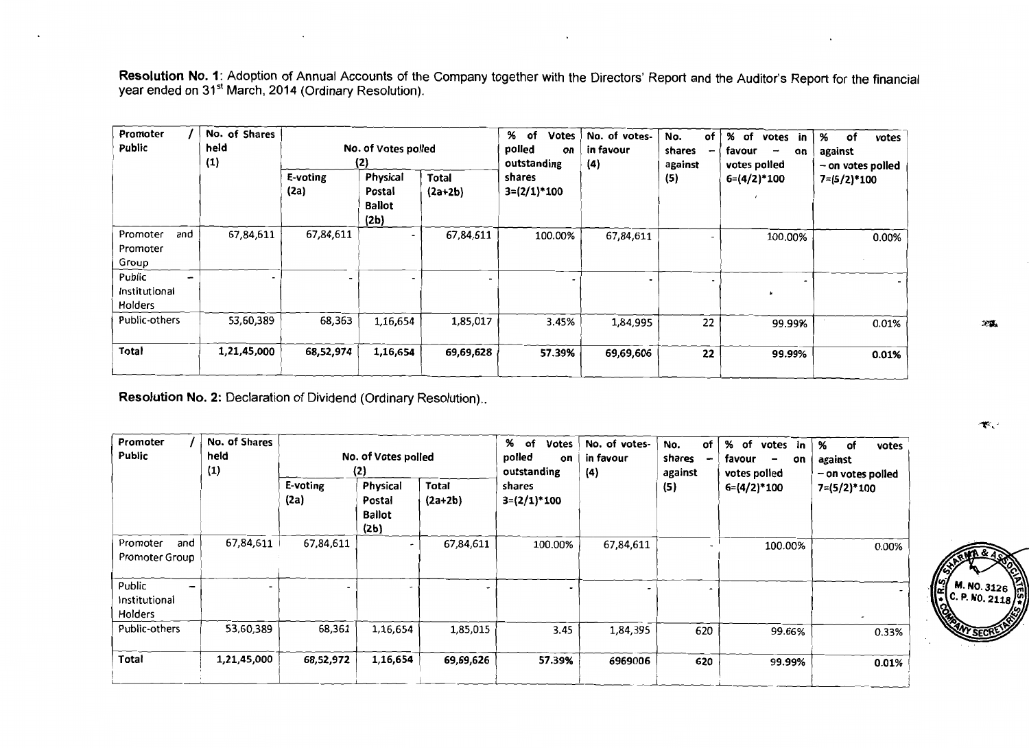Resolution No. 1: Adoption of Annual Accounts of the Company together with the Directors' Report and the Auditor's Report for the financial year ended on 31<sup>st</sup> March, 2014 (Ordinary Resolution).

| Promoter<br><b>Public</b>               | No. of Shares<br>held<br>(1) | No. of Votes polled<br>(2) |                                             |                    | %<br>of<br><b>Votes</b><br>polled<br>on<br>outstanding | No. of votes-<br>in favour<br>$\{4\}$ | No.<br>of<br>shares<br>against | %<br>of<br>votes in<br>favour<br>on<br>ļ<br>votes polled | %<br>of<br>votes<br>against<br>$-$ on votes polled |
|-----------------------------------------|------------------------------|----------------------------|---------------------------------------------|--------------------|--------------------------------------------------------|---------------------------------------|--------------------------------|----------------------------------------------------------|----------------------------------------------------|
|                                         |                              | E-voting<br>(2a)           | Physical<br>Postal<br><b>Ballot</b><br>(2b) | Total<br>$(2a+2b)$ | shares<br>$3=(2/1)*100$                                |                                       | (5)                            | $6=(4/2)*100$                                            | $7=(5/2)*100$                                      |
| Promoter<br>and<br>Promoter<br>Group    | 67,84,611                    | 67,84,611                  | $\overline{\phantom{a}}$                    | 67,84,611          | 100.00%                                                | 67,84,611                             |                                | 100.00%                                                  | 0.00%                                              |
| Public<br>۰<br>Institutional<br>Holders |                              |                            |                                             |                    |                                                        |                                       |                                |                                                          |                                                    |
| Public-others                           | 53,60,389                    | 68,363                     | 1,16,654                                    | 1,85,017           | 3.45%                                                  | 1,84,995                              | 22                             | 99.99%                                                   | 0.01%                                              |
| Total                                   | 1,21,45,000                  | 68,52,974                  | 1,16,654                                    | 69,69,628          | 57.39%                                                 | 69,69,606                             | 22                             | 99.99%                                                   | 0.01%                                              |

Resolution No. 2: Declaration of Dividend (Ordinary Resolution)..

| Promoter<br>Public                       | No. of Shares<br>held<br>(1) | No. of Votes polled<br>(2) |                                             |                    | %<br>оf<br><b>Votes</b><br>polled<br>on<br>outstanding | No. of votes-<br>in favour<br>(4) | of<br>No.<br>shares<br>against | %<br>of<br>votes<br>in<br>favour<br>on<br>$\overline{\phantom{m}}$<br>votes polled | %<br>0f<br>votes<br>against<br>- on votes polled |
|------------------------------------------|------------------------------|----------------------------|---------------------------------------------|--------------------|--------------------------------------------------------|-----------------------------------|--------------------------------|------------------------------------------------------------------------------------|--------------------------------------------------|
|                                          |                              | E-voting<br>(2a)           | Physical<br>Postal<br><b>Ballot</b><br>(2b) | Total<br>$(2a+2b)$ | shares<br>$3=(2/1)*100$                                |                                   | (5)                            | $6=(4/2)*100$                                                                      | $7 = (5/2)^*100$                                 |
| Promoter<br>and<br><b>Promoter Group</b> | 67,84,611                    | 67,84,611                  |                                             | 67,84,611          | 100.00%                                                | 67,84,611                         |                                | 100.00%                                                                            | 0.00%                                            |
| Public<br>-<br>Institutional<br>Holders  |                              |                            |                                             |                    |                                                        |                                   |                                |                                                                                    |                                                  |
| Public-others                            | 53,60,389                    | 68,361                     | 1,16,654                                    | 1,85,015           | 3.45                                                   | 1,84,395                          | 620                            | 99.66%                                                                             | 0.33%                                            |
| Total                                    | 1,21,45,000                  | 68,52,972                  | 1,16,654                                    | 69,69,626          | 57.39%                                                 | 6969006                           | 620                            | 99.99%                                                                             | 0.01%                                            |

ক্ত*়* 

深藏

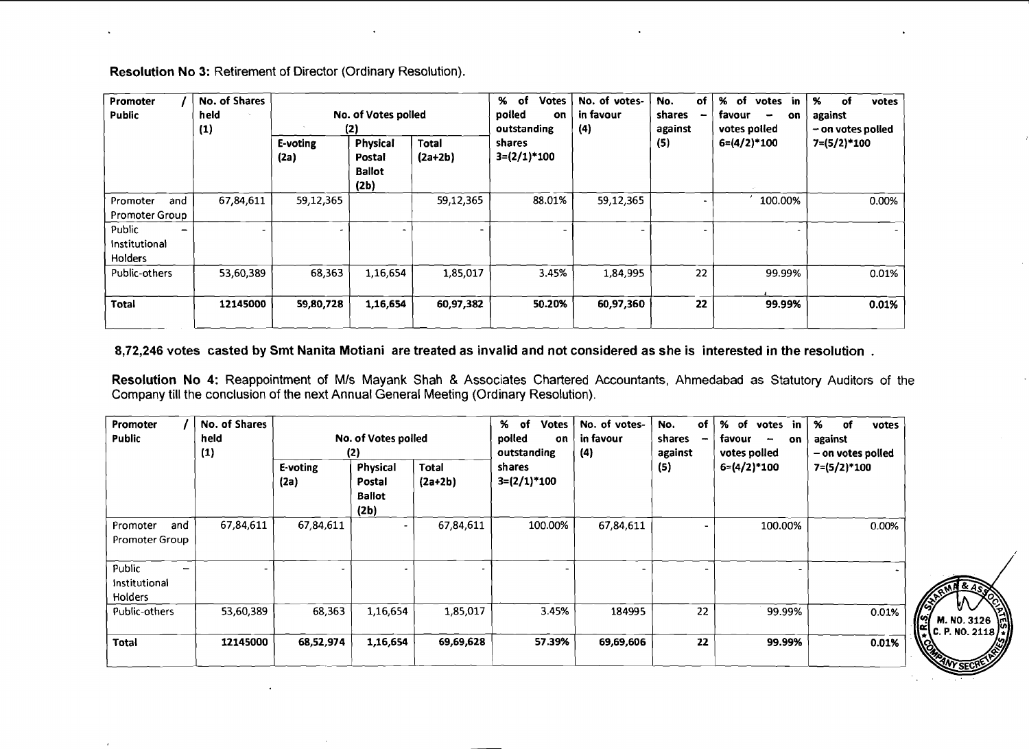| Promoter<br>Public                       | No. of Shares<br>held<br>(1) | No. of Votes polled<br>(2) |                                                    |                           | %<br><b>Votes</b><br>of<br>polled<br>on<br>outstanding | No. of votes-<br>in favour<br>(4) | of<br>No.<br>shares<br>against | %<br>of<br>in<br>votes<br>favour<br>on.<br>-<br>votes polled | %<br>of<br>votes<br>against<br>- on votes polled |
|------------------------------------------|------------------------------|----------------------------|----------------------------------------------------|---------------------------|--------------------------------------------------------|-----------------------------------|--------------------------------|--------------------------------------------------------------|--------------------------------------------------|
|                                          |                              | E-voting<br>(2a)           | <b>Physical</b><br>Postal<br><b>Ballot</b><br>(2b) | <b>Total</b><br>$(2a+2b)$ | shares<br>$3=(2/1)*100$                                |                                   | (5)                            | $6=(4/2)*100$                                                | $7=(5/2)*100$                                    |
| Promoter<br>and<br><b>Promoter Group</b> | 67,84,611                    | 59,12,365                  |                                                    | 59,12,365                 | 88.01%                                                 | 59,12,365                         |                                | 100.00%                                                      | 0.00%                                            |
| Public<br>Institutional<br>Holders       |                              |                            |                                                    |                           |                                                        |                                   |                                |                                                              |                                                  |
| Public-others                            | 53,60,389                    | 68,363                     | 1,16,654                                           | 1,85,017                  | 3.45%                                                  | 1,84,995                          | 22                             | 99.99%                                                       | 0.01%                                            |
| Total                                    | 12145000                     | 59,80,728                  | 1,16,654                                           | 60,97,382                 | 50.20%                                                 | 60,97,360                         | 22                             | 99.99%                                                       | 0.01%                                            |

Resolution No 3: Retirement of Director (Ordinary Resolution).

**8,72,246** votes casted **by** Smt Nanita Motiani are treated as invalid and not considered as she is interested in the resolution .

Resolution No **4:** Reappointment of MIS Mayank Shah & Associates Chartered Accountants, Ahmedabad as Statutory Auditors of the Company till the conclusion of the next Annual General Meeting (Ordinary Resolution).

| Promoter<br><b>Public</b>                 | No. of Shares<br>held<br>(1) | No. of Votes polled<br>(2) |                                             |                    | %<br>of<br><b>Votes</b><br>polled<br>on<br>outstanding | No. of votes-<br>in favour<br>(4) | of<br>No.<br>shares<br>$\qquad \qquad \blacksquare$<br>against | %<br>of<br>votes in<br>favour<br>on<br>-<br>votes polled | %<br>votes<br>of<br>against<br>- on votes polled |
|-------------------------------------------|------------------------------|----------------------------|---------------------------------------------|--------------------|--------------------------------------------------------|-----------------------------------|----------------------------------------------------------------|----------------------------------------------------------|--------------------------------------------------|
|                                           |                              | E-voting<br>(2a)           | Physical<br>Postal<br><b>Ballot</b><br>(2b) | Total<br>$(2a+2b)$ | shares<br>$3=(2/1)*100$                                |                                   | (5)                                                            | $6=(4/2)*100$                                            | $7=(5/2)*100$                                    |
| and<br>Promoter<br>Promoter Group         | 67,84,611                    | 67,84,611                  |                                             | 67,84,611          | 100.00%                                                | 67,84,611                         |                                                                | 100.00%                                                  | 0.00%                                            |
| Public<br>Institutional<br><b>Holders</b> |                              |                            |                                             |                    |                                                        |                                   |                                                                |                                                          |                                                  |
| Public-others                             | 53,60,389                    | 68,363                     | 1,16,654                                    | 1,85,017           | 3.45%                                                  | 184995                            | 22                                                             | 99.99%                                                   | 0.01%                                            |
| Total                                     | 12145000                     | 68,52,974                  | 1,16,654                                    | 69,69,628          | 57.39%                                                 | 69,69,606                         | 22                                                             | 99.99%                                                   | 0.01%                                            |

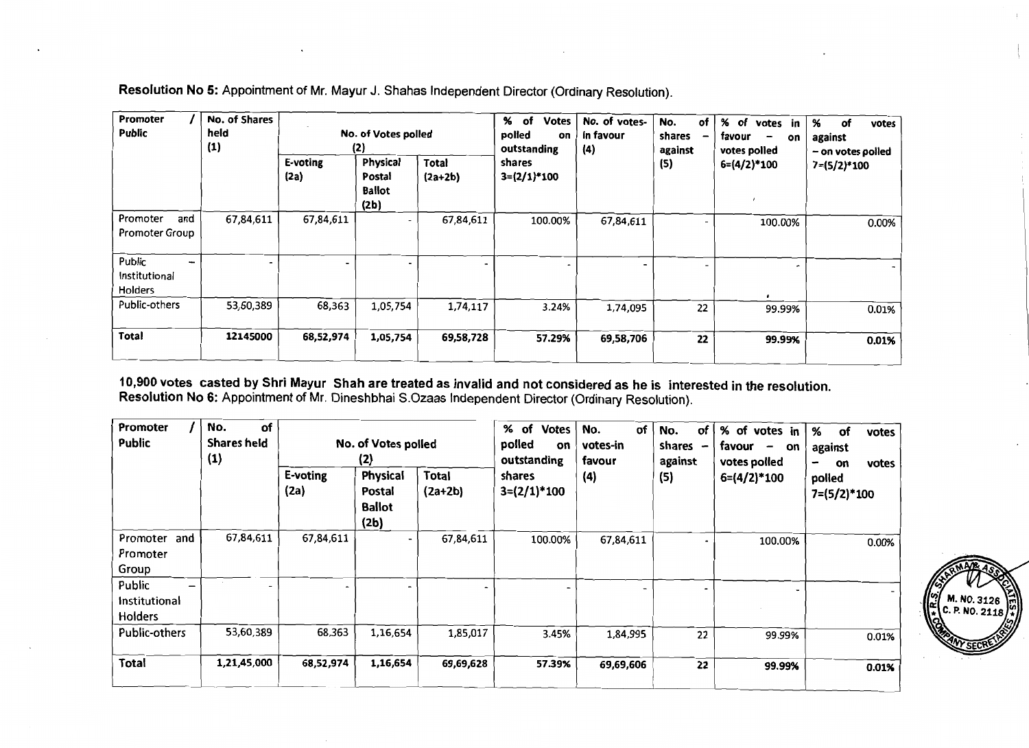| Promoter<br><b>Public</b>                 | No. of Shares<br>held<br>(1) | No. of Votes polled<br>(2) |                                             |                                               | %<br>of<br><b>Votes</b><br>polled<br>on<br>outstanding | No. of votes-<br>in favour<br>(4) | No.<br>of<br>shares<br>against | %<br>of<br>votes in<br>favour<br>on<br>votes polled | %<br>of<br>votes<br>against<br>- on votes polled |  |
|-------------------------------------------|------------------------------|----------------------------|---------------------------------------------|-----------------------------------------------|--------------------------------------------------------|-----------------------------------|--------------------------------|-----------------------------------------------------|--------------------------------------------------|--|
|                                           |                              | E-voting<br>(2a)           | Physical<br>Postal<br><b>Ballot</b><br>(2b) | Total<br>shares<br>$3=(2/1)*100$<br>$(2a+2b)$ |                                                        | (5)                               | $6=(4/2)*100$                  | $7 = (5/2)^*100$                                    |                                                  |  |
| Promoter<br>and<br>Promoter Group         | 67,84,611                    | 67,84,611                  |                                             | 67,84,611                                     | 100.00%                                                | 67,84,611                         |                                | 100.00%                                             | 0.00%                                            |  |
| Public<br>Institutional<br><b>Holders</b> |                              |                            |                                             |                                               |                                                        |                                   |                                |                                                     |                                                  |  |
| Public-others                             | 53,60,389                    | 68,363                     | 1,05,754                                    | 1,74,117                                      | 3.24%                                                  | 1,74,095                          | 22                             | 99.99%                                              | 0.01%                                            |  |
| Total                                     | 12145000                     | 68,52,974                  | 1,05,754                                    | 69,58,728                                     | 57.29%                                                 | 69,58,706                         | 22                             | 99.99%                                              | 0.01%                                            |  |

Resolution No 5: Appointment of Mr. Mayur J. Shahas Independent Director (Ordinary Resolution).

10,900 votes casted by Shri Mayur Shah are treated as invalid and not considered as he is interested in the resolution.<br>Resolution No 6: Appointment of Mr. Dineshbhai S.Ozaas Independent Director (Ordinary Resolution).

| Promoter<br>Public                                             | of<br>No.<br><b>Shares held</b><br>(1) | No. of Votes polled<br>(2) |                                             | % of<br><b>Votes</b><br>polled<br>on<br>outstanding | of<br>No.<br>votes-in<br>favour | of<br>No.<br>shares<br>against | % of votes in<br>favour<br>on<br>-<br>votes polled | %<br>of<br>votes<br>against<br>votes<br>on<br>$\overline{\phantom{0}}$ |                         |
|----------------------------------------------------------------|----------------------------------------|----------------------------|---------------------------------------------|-----------------------------------------------------|---------------------------------|--------------------------------|----------------------------------------------------|------------------------------------------------------------------------|-------------------------|
|                                                                |                                        | E-voting<br>(2a)           | Physical<br>Postal<br><b>Ballot</b><br>(2b) | Total<br>$(2a+2b)$                                  | shares<br>$3=(2/1)*100$         | (4)                            | (5)                                                | $6=(4/2)*100$                                                          | polled<br>$7=(5/2)*100$ |
| Promoter and<br>Promoter<br>Group                              | 67,84,611                              | 67,84,611                  |                                             | 67,84,611                                           | 100.00%                         | 67,84,611                      |                                                    | 100.00%                                                                | 0.00%                   |
| Public<br>$\overline{\phantom{0}}$<br>Institutional<br>Holders |                                        |                            |                                             |                                                     |                                 |                                |                                                    |                                                                        |                         |
| Public-others                                                  | 53,60,389                              | 68,363                     | 1,16,654                                    | 1,85,017                                            | 3.45%                           | 1,84,995                       | 22                                                 | 99.99%                                                                 | 0.01%                   |
| Total                                                          | 1,21,45,000                            | 68,52,974                  | 1,16,654                                    | 69,69,628                                           | 57.39%                          | 69,69,606                      | 22                                                 | 99.99%                                                                 | 0.01%                   |

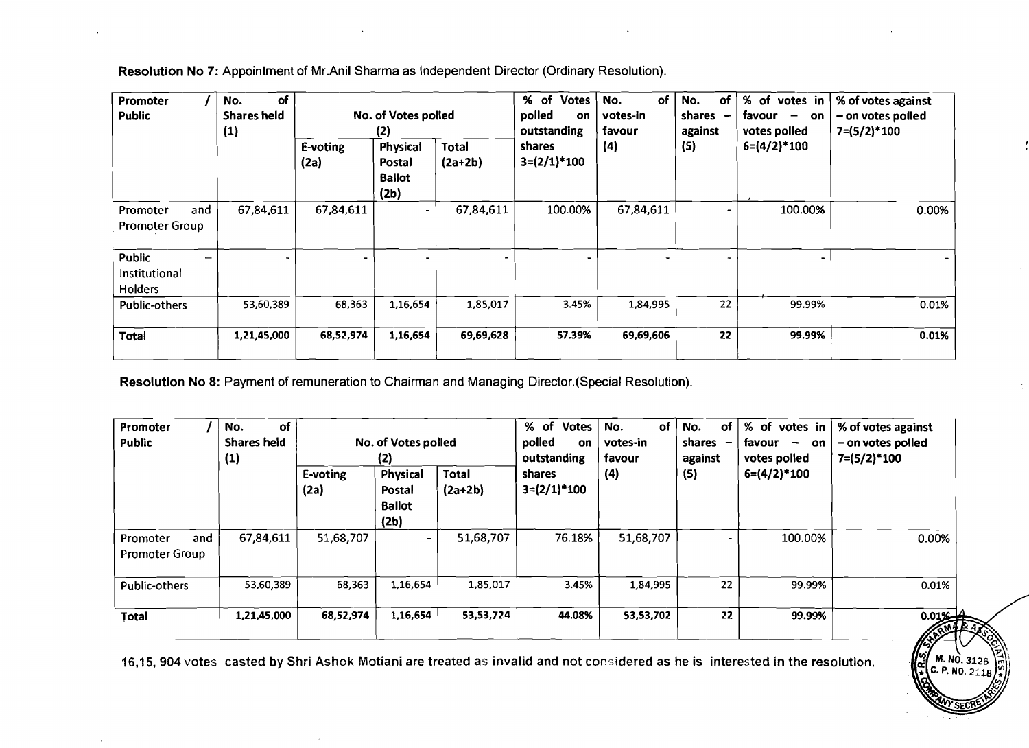| Promoter<br>Public                             | of<br>No.<br><b>Shares held</b><br>(1) | No. of Votes polled<br>(2) |                                                    |                           | % of Votes<br>polled<br>on<br>outstanding | of<br>No.<br>votes-in<br>favour | No.<br>.of<br>shares<br>against | % of votes in<br>favour $-$<br>on<br>votes polled | % of votes against<br>- on votes polled<br>$7=(5/2)*100$ |
|------------------------------------------------|----------------------------------------|----------------------------|----------------------------------------------------|---------------------------|-------------------------------------------|---------------------------------|---------------------------------|---------------------------------------------------|----------------------------------------------------------|
|                                                |                                        | E-voting<br>(2a)           | <b>Physical</b><br>Postal<br><b>Ballot</b><br>(2b) | <b>Total</b><br>$(2a+2b)$ | shares<br>$3=(2/1)*100$                   | (4)                             | (5)                             | $6=(4/2)*100$                                     |                                                          |
| and<br>Promoter<br><b>Promoter Group</b>       | 67,84,611                              | 67,84,611                  |                                                    | 67,84,611                 | 100.00%                                   | 67,84,611                       |                                 | 100.00%                                           | 0.00%                                                    |
| Public<br>—<br>Institutional<br><b>Holders</b> |                                        |                            |                                                    |                           |                                           |                                 |                                 |                                                   |                                                          |
| <b>Public-others</b>                           | 53,60,389                              | 68,363                     | 1,16,654                                           | 1,85,017                  | 3.45%                                     | 1,84,995                        | 22                              | 99.99%                                            | 0.01%                                                    |
| <b>Total</b>                                   | 1,21,45,000                            | 68,52,974                  | 1,16,654                                           | 69,69,628                 | 57.39%                                    | 69,69,606                       | 22                              | 99.99%                                            | 0.01%                                                    |

Resolution No 7: Appointment of Mr.Anil Sharma as Independent Director (Ordinary Resolution).

Resolution No 8: Payment of remuneration to Chairman and Managing Director. (Special Resolution).

 $\lambda$ 

| Promoter<br><b>Public</b>                | No.<br>оf<br><b>Shares held</b><br>(1) | No. of Votes polled<br>(2) |                                             |                           | % of Votes<br>No.<br>of<br>polled<br>votes-in<br>on<br>outstanding<br>favour | of<br>No.<br>shares<br>against | % of votes in<br>favour<br>$\overline{\phantom{m}}$<br>on<br>votes polled | % of votes against<br>- on votes polled<br>$7=(5/2)*100$ |                      |
|------------------------------------------|----------------------------------------|----------------------------|---------------------------------------------|---------------------------|------------------------------------------------------------------------------|--------------------------------|---------------------------------------------------------------------------|----------------------------------------------------------|----------------------|
|                                          |                                        | E-voting<br>(2a)           | Physical<br>Postal<br><b>Ballot</b><br>(2b) | <b>Total</b><br>$(2a+2b)$ | shares<br>$3=(2/1)*100$                                                      | (4)                            | (5)                                                                       | $6=(4/2)*100$                                            |                      |
| and<br>Promoter<br><b>Promoter Group</b> | 67,84,611                              | 51,68,707                  |                                             | 51,68,707                 | 76.18%                                                                       | 51,68,707                      | $\blacksquare$                                                            | 100.00%                                                  | 0.00%                |
| <b>Public-others</b>                     | 53,60,389                              | 68,363                     | 1,16,654                                    | 1,85,017                  | 3.45%                                                                        | 1,84,995                       | 22                                                                        | 99.99%                                                   | 0.01%                |
| Total                                    | 1,21,45,000                            | 68,52,974                  | 1,16,654                                    | 53,53,724                 | 44.08%                                                                       | 53,53,702                      | 22                                                                        | 99.99%                                                   | 0.012<br><b>ARMA</b> |

M. NO. 3126<br>LC. P. NO. 211

16,15, 904 votes casted by Shri Ashok Motiani are treated as invalid and not considered as he is interested in the resolution.